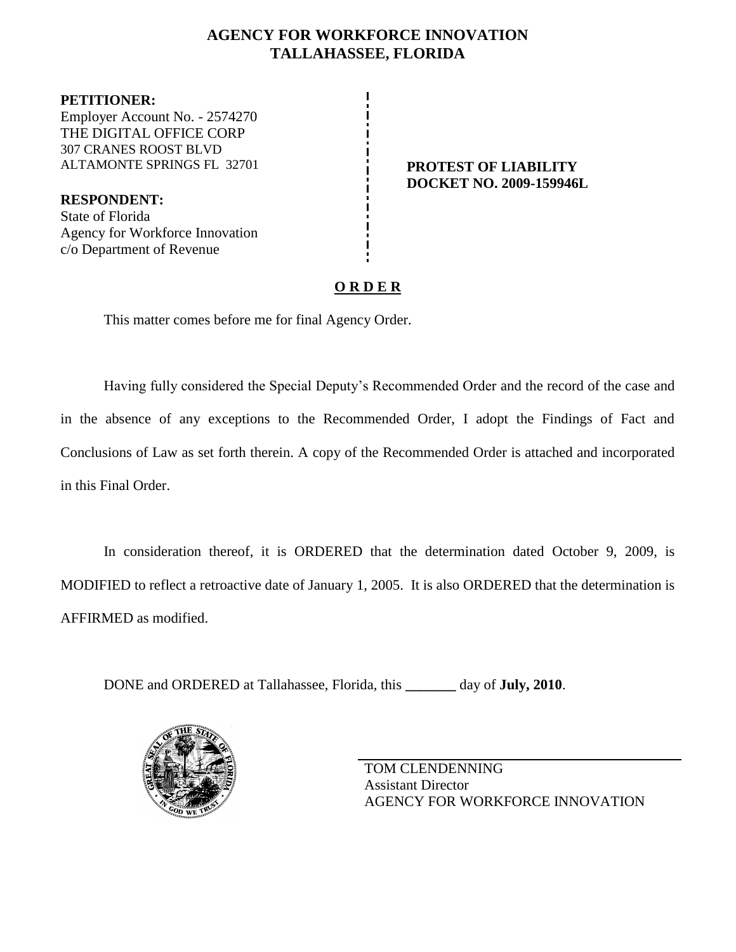## **AGENCY FOR WORKFORCE INNOVATION TALLAHASSEE, FLORIDA**

**PETITIONER:** Employer Account No. - 2574270 THE DIGITAL OFFICE CORP 307 CRANES ROOST BLVD ALTAMONTE SPRINGS FL 32701 **PROTEST OF LIABILITY** 

**RESPONDENT:** State of Florida Agency for Workforce Innovation c/o Department of Revenue

# **DOCKET NO. 2009-159946L**

## **O R D E R**

This matter comes before me for final Agency Order.

Having fully considered the Special Deputy's Recommended Order and the record of the case and in the absence of any exceptions to the Recommended Order, I adopt the Findings of Fact and Conclusions of Law as set forth therein. A copy of the Recommended Order is attached and incorporated in this Final Order.

In consideration thereof, it is ORDERED that the determination dated October 9, 2009, is MODIFIED to reflect a retroactive date of January 1, 2005. It is also ORDERED that the determination is AFFIRMED as modified.

DONE and ORDERED at Tallahassee, Florida, this **\_\_\_\_\_\_\_** day of **July, 2010**.



TOM CLENDENNING Assistant Director AGENCY FOR WORKFORCE INNOVATION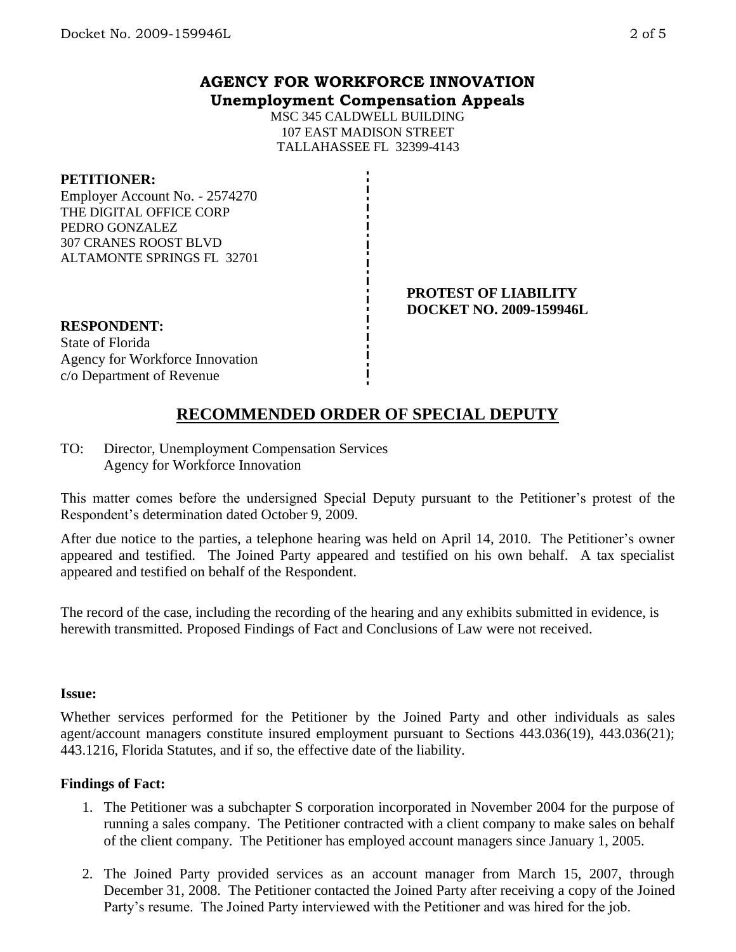MSC 345 CALDWELL BUILDING 107 EAST MADISON STREET TALLAHASSEE FL 32399-4143

#### **PETITIONER:**

Employer Account No. - 2574270 THE DIGITAL OFFICE CORP PEDRO GONZALEZ 307 CRANES ROOST BLVD ALTAMONTE SPRINGS FL 32701

#### **PROTEST OF LIABILITY DOCKET NO. 2009-159946L**

## **RESPONDENT:** State of Florida

Agency for Workforce Innovation c/o Department of Revenue

## **RECOMMENDED ORDER OF SPECIAL DEPUTY**

TO: Director, Unemployment Compensation Services Agency for Workforce Innovation

This matter comes before the undersigned Special Deputy pursuant to the Petitioner's protest of the Respondent's determination dated October 9, 2009.

After due notice to the parties, a telephone hearing was held on April 14, 2010. The Petitioner's owner appeared and testified. The Joined Party appeared and testified on his own behalf. A tax specialist appeared and testified on behalf of the Respondent.

The record of the case, including the recording of the hearing and any exhibits submitted in evidence, is herewith transmitted. Proposed Findings of Fact and Conclusions of Law were not received.

#### **Issue:**

Whether services performed for the Petitioner by the Joined Party and other individuals as sales agent/account managers constitute insured employment pursuant to Sections 443.036(19), 443.036(21); 443.1216, Florida Statutes, and if so, the effective date of the liability.

### **Findings of Fact:**

- 1. The Petitioner was a subchapter S corporation incorporated in November 2004 for the purpose of running a sales company. The Petitioner contracted with a client company to make sales on behalf of the client company. The Petitioner has employed account managers since January 1, 2005.
- 2. The Joined Party provided services as an account manager from March 15, 2007, through December 31, 2008. The Petitioner contacted the Joined Party after receiving a copy of the Joined Party's resume. The Joined Party interviewed with the Petitioner and was hired for the job.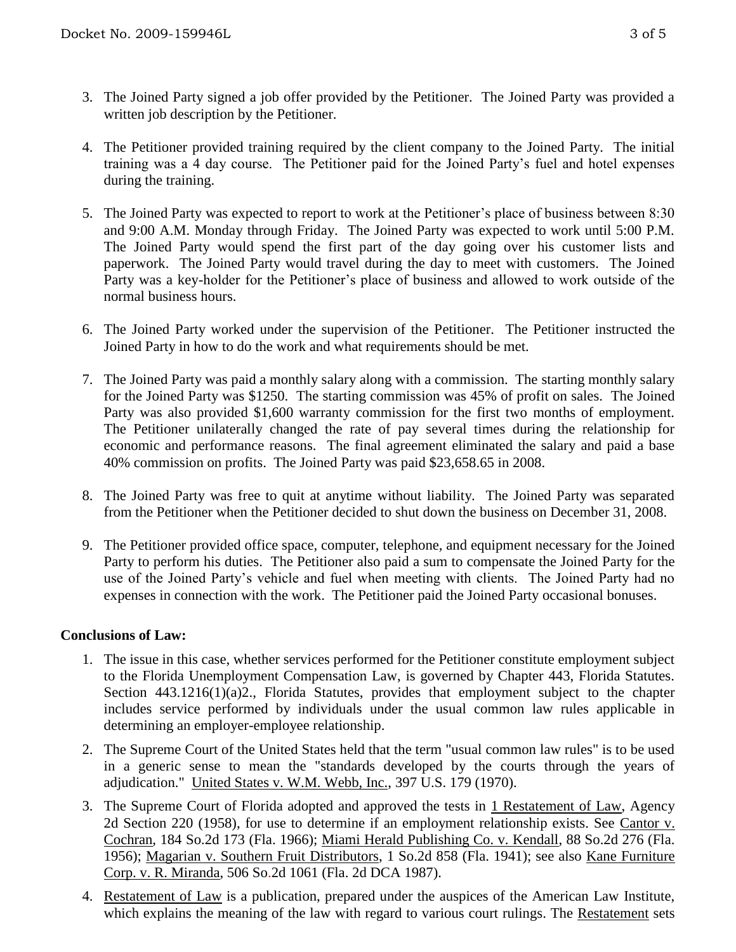- 3. The Joined Party signed a job offer provided by the Petitioner. The Joined Party was provided a written job description by the Petitioner.
- 4. The Petitioner provided training required by the client company to the Joined Party. The initial training was a 4 day course. The Petitioner paid for the Joined Party's fuel and hotel expenses during the training.
- 5. The Joined Party was expected to report to work at the Petitioner's place of business between 8:30 and 9:00 A.M. Monday through Friday. The Joined Party was expected to work until 5:00 P.M. The Joined Party would spend the first part of the day going over his customer lists and paperwork. The Joined Party would travel during the day to meet with customers. The Joined Party was a key-holder for the Petitioner's place of business and allowed to work outside of the normal business hours.
- 6. The Joined Party worked under the supervision of the Petitioner. The Petitioner instructed the Joined Party in how to do the work and what requirements should be met.
- 7. The Joined Party was paid a monthly salary along with a commission. The starting monthly salary for the Joined Party was \$1250. The starting commission was 45% of profit on sales. The Joined Party was also provided \$1,600 warranty commission for the first two months of employment. The Petitioner unilaterally changed the rate of pay several times during the relationship for economic and performance reasons. The final agreement eliminated the salary and paid a base 40% commission on profits. The Joined Party was paid \$23,658.65 in 2008.
- 8. The Joined Party was free to quit at anytime without liability. The Joined Party was separated from the Petitioner when the Petitioner decided to shut down the business on December 31, 2008.
- 9. The Petitioner provided office space, computer, telephone, and equipment necessary for the Joined Party to perform his duties. The Petitioner also paid a sum to compensate the Joined Party for the use of the Joined Party's vehicle and fuel when meeting with clients. The Joined Party had no expenses in connection with the work. The Petitioner paid the Joined Party occasional bonuses.

#### **Conclusions of Law:**

- 1. The issue in this case, whether services performed for the Petitioner constitute employment subject to the Florida Unemployment Compensation Law, is governed by Chapter 443, Florida Statutes. Section 443.1216(1)(a)2., Florida Statutes, provides that employment subject to the chapter includes service performed by individuals under the usual common law rules applicable in determining an employer-employee relationship.
- 2. The Supreme Court of the United States held that the term "usual common law rules" is to be used in a generic sense to mean the "standards developed by the courts through the years of adjudication." United States v. W.M. Webb, Inc., 397 U.S. 179 (1970).
- 3. The Supreme Court of Florida adopted and approved the tests in 1 Restatement of Law, Agency 2d Section 220 (1958), for use to determine if an employment relationship exists. See Cantor v. Cochran, 184 So.2d 173 (Fla. 1966); Miami Herald Publishing Co. v. Kendall, 88 So.2d 276 (Fla. 1956); Magarian v. Southern Fruit Distributors, 1 So.2d 858 (Fla. 1941); see also Kane Furniture Corp. v. R. Miranda, 506 So.2d 1061 (Fla. 2d DCA 1987).
- 4. Restatement of Law is a publication, prepared under the auspices of the American Law Institute, which explains the meaning of the law with regard to various court rulings. The Restatement sets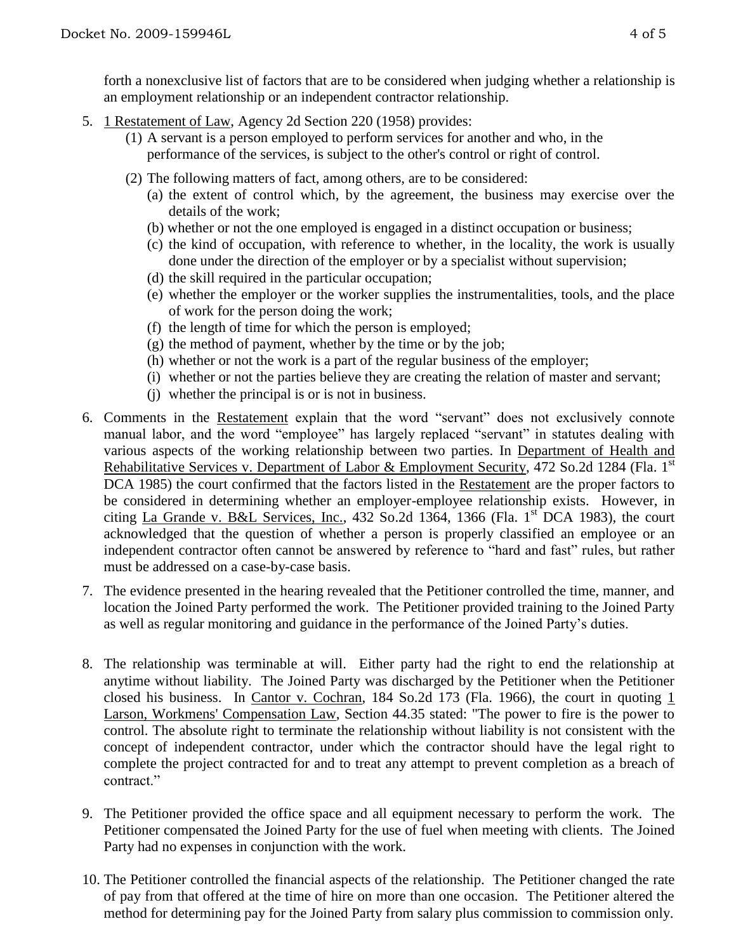forth a nonexclusive list of factors that are to be considered when judging whether a relationship is an employment relationship or an independent contractor relationship.

- 5. 1 Restatement of Law, Agency 2d Section 220 (1958) provides:
	- (1) A servant is a person employed to perform services for another and who, in the performance of the services, is subject to the other's control or right of control.
	- (2) The following matters of fact, among others, are to be considered:
		- (a) the extent of control which, by the agreement, the business may exercise over the details of the work;
		- (b) whether or not the one employed is engaged in a distinct occupation or business;
		- (c) the kind of occupation, with reference to whether, in the locality, the work is usually done under the direction of the employer or by a specialist without supervision;
		- (d) the skill required in the particular occupation;
		- (e) whether the employer or the worker supplies the instrumentalities, tools, and the place of work for the person doing the work;
		- (f) the length of time for which the person is employed;
		- $(g)$  the method of payment, whether by the time or by the job;
		- (h) whether or not the work is a part of the regular business of the employer;
		- (i) whether or not the parties believe they are creating the relation of master and servant;
		- (j) whether the principal is or is not in business.
- 6. Comments in the Restatement explain that the word "servant" does not exclusively connote manual labor, and the word "employee" has largely replaced "servant" in statutes dealing with various aspects of the working relationship between two parties. In Department of Health and Rehabilitative Services v. Department of Labor & Employment Security, 472 So.2d 1284 (Fla. 1<sup>st</sup> DCA 1985) the court confirmed that the factors listed in the Restatement are the proper factors to be considered in determining whether an employer-employee relationship exists. However, in citing La Grande v. B&L Services, Inc., 432 So.2d 1364, 1366 (Fla. 1st DCA 1983), the court acknowledged that the question of whether a person is properly classified an employee or an independent contractor often cannot be answered by reference to "hard and fast" rules, but rather must be addressed on a case-by-case basis.
- 7. The evidence presented in the hearing revealed that the Petitioner controlled the time, manner, and location the Joined Party performed the work. The Petitioner provided training to the Joined Party as well as regular monitoring and guidance in the performance of the Joined Party's duties.
- 8. The relationship was terminable at will. Either party had the right to end the relationship at anytime without liability. The Joined Party was discharged by the Petitioner when the Petitioner closed his business. In Cantor v. Cochran, 184 So.2d 173 (Fla. 1966), the court in quoting 1 Larson, Workmens' Compensation Law, Section 44.35 stated: "The power to fire is the power to control. The absolute right to terminate the relationship without liability is not consistent with the concept of independent contractor, under which the contractor should have the legal right to complete the project contracted for and to treat any attempt to prevent completion as a breach of contract."
- 9. The Petitioner provided the office space and all equipment necessary to perform the work. The Petitioner compensated the Joined Party for the use of fuel when meeting with clients. The Joined Party had no expenses in conjunction with the work.
- 10. The Petitioner controlled the financial aspects of the relationship. The Petitioner changed the rate of pay from that offered at the time of hire on more than one occasion. The Petitioner altered the method for determining pay for the Joined Party from salary plus commission to commission only.